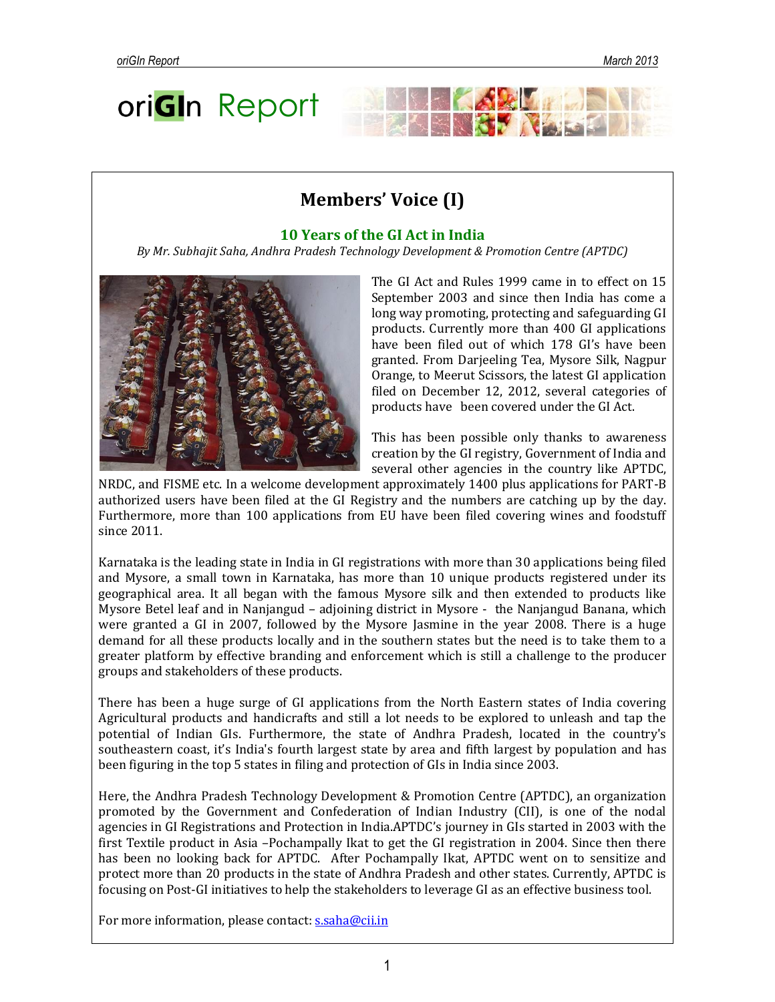



### **10 Years of the GI Act in India**

*By Mr. Subhajit Saha, Andhra Pradesh Technology Development & Promotion Centre (APTDC)*



The GI Act and Rules 1999 came in to effect on 15 September 2003 and since then India has come a long way promoting, protecting and safeguarding GI products. Currently more than 400 GI applications have been filed out of which 178 GI's have been granted. From Darjeeling Tea, Mysore Silk, Nagpur Orange, to Meerut Scissors, the latest GI application filed on December 12, 2012, several categories of products have been covered under the GI Act.

This has been possible only thanks to awareness creation by the GI registry, Government of India and several other agencies in the country like APTDC,

NRDC, and FISME etc. In a welcome development approximately 1400 plus applications for PART-B authorized users have been filed at the GI Registry and the numbers are catching up by the day. Furthermore, more than 100 applications from EU have been filed covering wines and foodstuff since 2011.

Karnataka is the leading state in India in GI registrations with more than 30 applications being filed and Mysore, a small town in Karnataka, has more than 10 unique products registered under its geographical area. It all began with the famous Mysore silk and then extended to products like Mysore Betel leaf and in Nanjangud – adjoining district in Mysore - the Nanjangud Banana, which were granted a GI in 2007, followed by the Mysore Jasmine in the year 2008. There is a huge demand for all these products locally and in the southern states but the need is to take them to a greater platform by effective branding and enforcement which is still a challenge to the producer groups and stakeholders of these products.

There has been a huge surge of GI applications from the North Eastern states of India covering Agricultural products and handicrafts and still a lot needs to be explored to unleash and tap the potential of Indian GIs. Furthermore, the state of Andhra Pradesh, located in the country's southeastern coast, it's India's [fourth largest state by area](http://en.wikipedia.org/wiki/List_of_states_and_territories_of_India_by_area) and [fifth largest by population](http://en.wikipedia.org/wiki/List_of_states_and_union_territories_of_India_by_population) and has been figuring in the top 5 states in filing and protection of GIs in India since 2003.

Here, the Andhra Pradesh Technology Development & Promotion Centre (APTDC), an organization promoted by the Government and Confederation of Indian Industry (CII), is one of the nodal agencies in GI Registrations and Protection in India.APTDC's journey in GIs started in 2003 with the first Textile product in Asia –Pochampally Ikat to get the GI registration in 2004. Since then there has been no looking back for APTDC. After Pochampally Ikat, APTDC went on to sensitize and protect more than 20 products in the state of Andhra Pradesh and other states. Currently, APTDC is focusing on Post-GI initiatives to help the stakeholders to leverage GI as an effective business tool.

For more information, please contact: **s.saha@cii.in**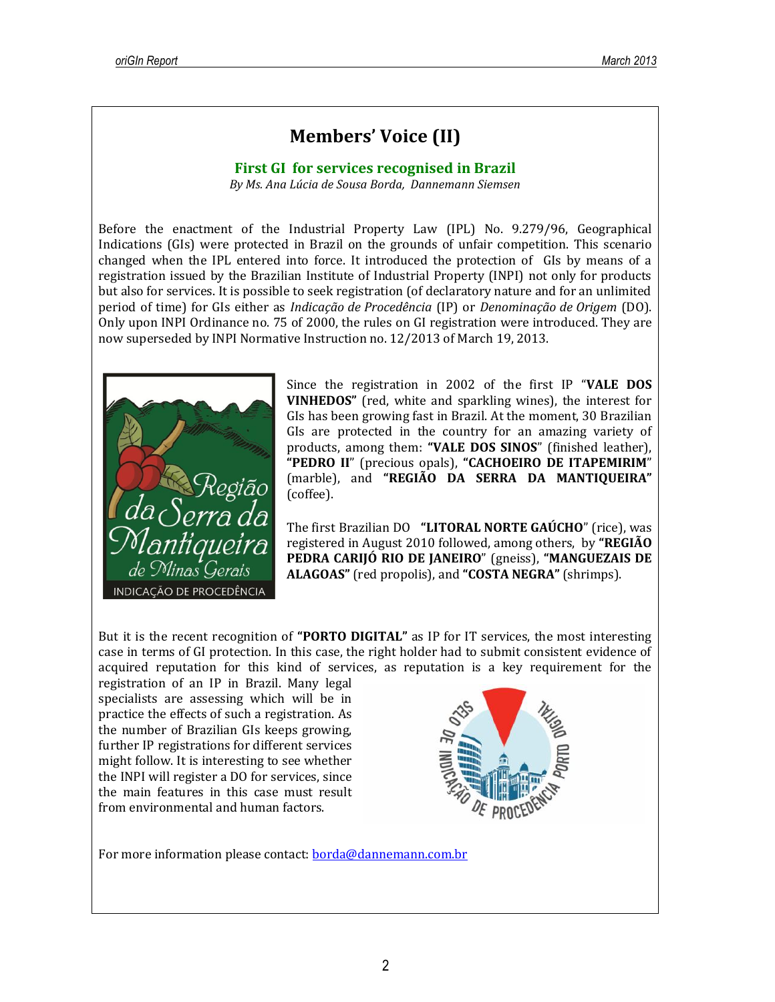# **Members' Voice (II)**

# **First GI for services recognised in Brazil**

*By Ms. Ana Lúcia de Sousa Borda, Dannemann Siemsen*

Before the enactment of the Industrial Property Law (IPL) No. 9.279/96, Geographical Indications (GIs) were protected in Brazil on the grounds of unfair competition. This scenario changed when the IPL entered into force. It introduced the protection of GIs by means of a registration issued by the Brazilian Institute of Industrial Property (INPI) not only for products but also for services. It is possible to seek registration (of declaratory nature and for an unlimited period of time) for GIs either as *Indicação de Procedência* (IP) or *Denominação de Origem* (DO). Only upon INPI Ordinance no. 75 of 2000, the rules on GI registration were introduced. They are now superseded by INPI Normative Instruction no. 12/2013 of March 19, 2013.



Since the registration in 2002 of the first IP "**VALE DOS VINHEDOS"** (red, white and sparkling wines), the interest for GIs has been growing fast in Brazil. At the moment, 30 Brazilian GIs are protected in the country for an amazing variety of products, among them: **"VALE DOS SINOS**" (finished leather), **"PEDRO II**" (precious opals), **"CACHOEIRO DE ITAPEMIRIM**" (marble), and **"REGIÃO DA SERRA DA MANTIQUEIRA"** (coffee).

The first Brazilian DO **"LITORAL NORTE GAÚCHO**" (rice), was registered in August 2010 followed, among others, by **"REGIÃO PEDRA CARIJÓ RIO DE JANEIRO**" (gneiss), **"MANGUEZAIS DE ALAGOAS"** (red propolis), and **"COSTA NEGRA"** (shrimps).

But it is the recent recognition of **"PORTO DIGITAL"** as IP for IT services, the most interesting case in terms of GI protection. In this case, the right holder had to submit consistent evidence of acquired reputation for this kind of services, as reputation is a key requirement for the

registration of an IP in Brazil. Many legal specialists are assessing which will be in practice the effects of such a registration. As the number of Brazilian GIs keeps growing, further IP registrations for different services might follow. It is interesting to see whether the INPI will register a DO for services, since the main features in this case must result from environmental and human factors.



For more information please contact: [borda@dannemann.com.br](mailto:borda@dannemann.com.br)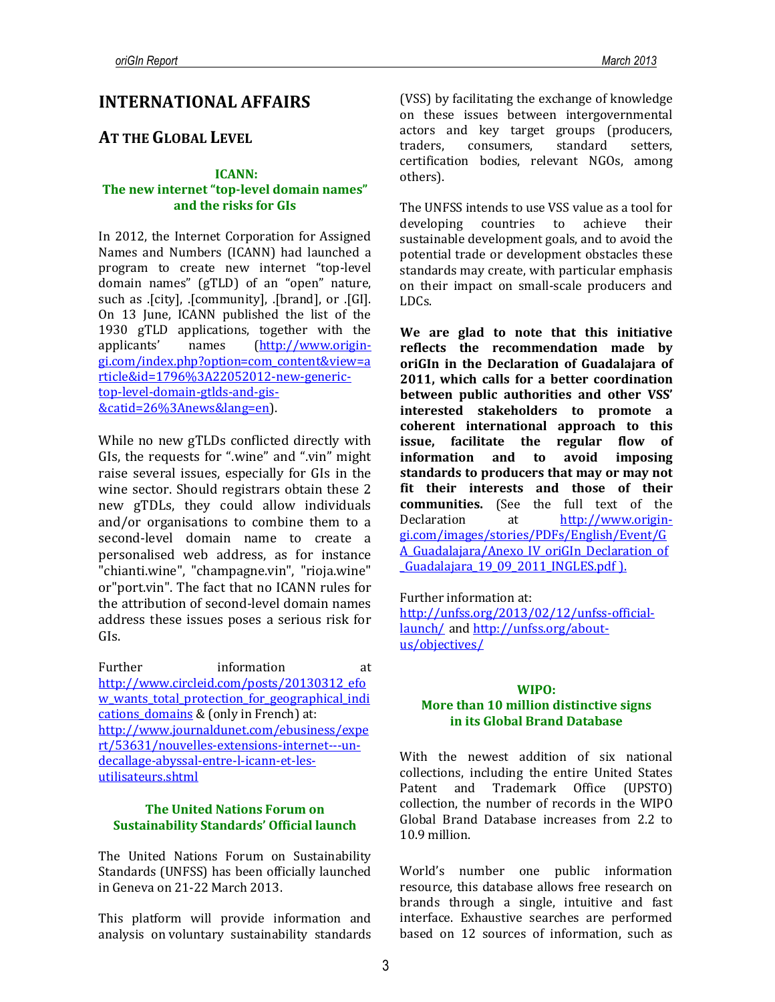# **INTERNATIONAL AFFAIRS**

# **AT THE GLOBAL LEVEL**

### **ICANN:**

# **The new internet "top-level domain names" and the risks for GIs**

In 2012, the Internet Corporation for Assigned Names and Numbers (ICANN) had launched a program to create new internet "top-level domain names" (gTLD) of an "open" nature, such as .[city], .[community], .[brand], or .[GI]. On 13 June, ICANN published the list of the 1930 gTLD applications, together with the applicants' names (http://www.origingi.com/index.php?option=com\_content&view=a rticle&id=1796%3A22052012-new-generictop-level-domain-gtlds-and-gis- &catid=26%3Anews&lang=en).

While no new gTLDs conflicted directly with GIs, the requests for ".wine" and ".vin" might raise several issues, especially for GIs in the wine sector. Should registrars obtain these 2 new gTDLs, they could allow individuals and/or organisations to combine them to a second-level domain name to create a personalised web address, as for instance "chianti.wine", "champagne.vin", "rioja.wine" or"port.vin". The fact that no ICANN rules for the attribution of second-level domain names address these issues poses a serious risk for GIs.

Further information at [http://www.circleid.com/posts/20130312\\_efo](http://www.circleid.com/posts/20130312_efow_wants_total_protection_for_geographical_indications_domains) w wants total protection for geographical indi cations domains & (only in French) at: [http://www.journaldunet.com/ebusiness/expe](http://www.journaldunet.com/ebusiness/expert/53631/nouvelles-extensions-internet---un-decallage-abyssal-entre-l-icann-et-les-utilisateurs.shtml) [rt/53631/nouvelles-extensions-internet---un](http://www.journaldunet.com/ebusiness/expert/53631/nouvelles-extensions-internet---un-decallage-abyssal-entre-l-icann-et-les-utilisateurs.shtml)[decallage-abyssal-entre-l-icann-et-les](http://www.journaldunet.com/ebusiness/expert/53631/nouvelles-extensions-internet---un-decallage-abyssal-entre-l-icann-et-les-utilisateurs.shtml)[utilisateurs.shtml](http://www.journaldunet.com/ebusiness/expert/53631/nouvelles-extensions-internet---un-decallage-abyssal-entre-l-icann-et-les-utilisateurs.shtml)

### **The United Nations Forum on Sustainability Standards' Official launch**

The United Nations Forum on Sustainability Standards (UNFSS) has been officially launched in Geneva on 21-22 March 2013.

This platform will provide information and analysis on voluntary sustainability standards (VSS) by facilitating the exchange of knowledge on these issues between intergovernmental actors and key target groups (producers, traders, consumers, standard setters, certification bodies, relevant NGOs, among others).

The UNFSS intends to use VSS value as a tool for developing countries to achieve their sustainable development goals, and to avoid the potential trade or development obstacles these standards may create, with particular emphasis on their impact on small-scale producers and LDCs.

**We are glad to note that this initiative reflects the recommendation made by oriGIn in the Declaration of Guadalajara of 2011, which calls for a better coordination between public authorities and other VSS' interested stakeholders to promote a coherent international approach to this issue, facilitate the regular flow of information and to avoid imposing standards to producers that may or may not fit their interests and those of their communities.** (See the full text of the Declaration at [http://www.origin](http://www.origin-gi.com/images/stories/PDFs/English/Event/GA_Guadalajara/Anexo_IV_oriGIn_Declaration_of_Guadalajara_19_09_2011_INGLES.pdf)[gi.com/images/stories/PDFs/English/Event/G](http://www.origin-gi.com/images/stories/PDFs/English/Event/GA_Guadalajara/Anexo_IV_oriGIn_Declaration_of_Guadalajara_19_09_2011_INGLES.pdf) [A\\_Guadalajara/Anexo\\_IV\\_oriGIn\\_Declaration\\_of](http://www.origin-gi.com/images/stories/PDFs/English/Event/GA_Guadalajara/Anexo_IV_oriGIn_Declaration_of_Guadalajara_19_09_2011_INGLES.pdf) Guadalajara 19 09 2011 INGLES.pdf ).

Further information at:

[http://unfss.org/2013/02/12/unfss-official](http://unfss.org/2013/02/12/unfss-official-launch/)[launch/](http://unfss.org/2013/02/12/unfss-official-launch/) and [http://unfss.org/about](http://unfss.org/about-us/objectives/)[us/objectives/](http://unfss.org/about-us/objectives/)

### **WIPO: More than 10 million distinctive signs in its Global Brand Database**

With the newest addition of six national collections, including the entire United States Patent and Trademark Office (UPSTO) collection, the number of records in [the WIPO](http://www.wipo.int/branddb/en/index.jsp)  [Global Brand Database](http://www.wipo.int/branddb/en/index.jsp) increases from 2.2 to 10.9 million.

World's number one public information resource, this database allows free research on brands through a single, intuitive and fast interface. Exhaustive searches are performed based on 12 sources of information, such as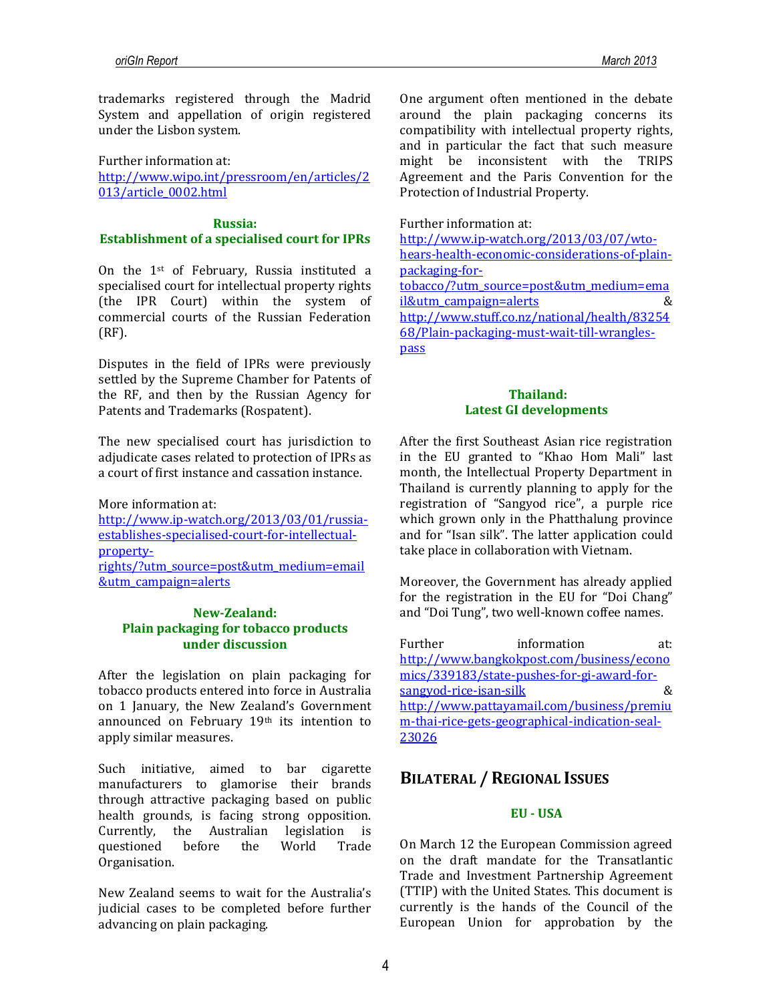trademarks registered through the Madrid System and appellation of origin registered under the Lisbon system.

Further information at: [http://www.wipo.int/pressroom/en/articles/2](http://www.wipo.int/pressroom/en/articles/2013/article_0002.html) [013/article\\_0002.html](http://www.wipo.int/pressroom/en/articles/2013/article_0002.html)

#### **Russia:**

# **Establishment of a specialised court for IPRs**

On the 1st of February, Russia instituted a specialised court for intellectual property rights (the IPR Court) within the system of commercial courts of the Russian Federation (RF).

Disputes in the field of IPRs were previously settled by the Supreme Chamber for Patents of the RF, and then by the Russian Agency for Patents and Trademarks (Rospatent).

The new specialised court has jurisdiction to adjudicate cases related to protection of IPRs as a court of first instance and cassation instance.

More information at: [http://www.ip-watch.org/2013/03/01/russia](http://www.ip-watch.org/2013/03/01/russia-establishes-specialised-court-for-intellectual-property-rights/?utm_source=post&utm_medium=email&utm_campaign=alerts)[establishes-specialised-court-for-intellectual](http://www.ip-watch.org/2013/03/01/russia-establishes-specialised-court-for-intellectual-property-rights/?utm_source=post&utm_medium=email&utm_campaign=alerts)[property](http://www.ip-watch.org/2013/03/01/russia-establishes-specialised-court-for-intellectual-property-rights/?utm_source=post&utm_medium=email&utm_campaign=alerts)[rights/?utm\\_source=post&utm\\_medium=email](http://www.ip-watch.org/2013/03/01/russia-establishes-specialised-court-for-intellectual-property-rights/?utm_source=post&utm_medium=email&utm_campaign=alerts) [&utm\\_campaign=alerts](http://www.ip-watch.org/2013/03/01/russia-establishes-specialised-court-for-intellectual-property-rights/?utm_source=post&utm_medium=email&utm_campaign=alerts)

### **New-Zealand: Plain packaging for tobacco products under discussion**

After the legislation on plain packaging for tobacco products entered into force in Australia on 1 January, the New Zealand's Government announced on February 19th its intention to apply similar measures.

Such initiative, aimed to bar cigarette manufacturers to glamorise their brands through attractive packaging based on public health grounds, is facing strong opposition. Currently, the Australian legislation is questioned before the World Trade Organisation.

New Zealand seems to wait for the Australia's judicial cases to be completed before further advancing on plain packaging.

One argument often mentioned in the debate around the plain packaging concerns its compatibility with intellectual property rights, and in particular the fact that such measure might be inconsistent with the TRIPS Agreement and the Paris Convention for the Protection of Industrial Property.

Further information at:

[http://www.ip-watch.org/2013/03/07/wto](http://www.ip-watch.org/2013/03/07/wto-hears-health-economic-considerations-of-plain-packaging-for-tobacco/?utm_source=post&utm_medium=email&utm_campaign=alerts)[hears-health-economic-considerations-of-plain](http://www.ip-watch.org/2013/03/07/wto-hears-health-economic-considerations-of-plain-packaging-for-tobacco/?utm_source=post&utm_medium=email&utm_campaign=alerts)[packaging-for](http://www.ip-watch.org/2013/03/07/wto-hears-health-economic-considerations-of-plain-packaging-for-tobacco/?utm_source=post&utm_medium=email&utm_campaign=alerts)[tobacco/?utm\\_source=post&utm\\_medium=ema](http://www.ip-watch.org/2013/03/07/wto-hears-health-economic-considerations-of-plain-packaging-for-tobacco/?utm_source=post&utm_medium=email&utm_campaign=alerts) [il&utm\\_campaign=alerts](http://www.ip-watch.org/2013/03/07/wto-hears-health-economic-considerations-of-plain-packaging-for-tobacco/?utm_source=post&utm_medium=email&utm_campaign=alerts) & [http://www.stuff.co.nz/national/health/83254](http://www.stuff.co.nz/national/health/8325468/Plain-packaging-must-wait-till-wrangles-pass) [68/Plain-packaging-must-wait-till-wrangles](http://www.stuff.co.nz/national/health/8325468/Plain-packaging-must-wait-till-wrangles-pass)[pass](http://www.stuff.co.nz/national/health/8325468/Plain-packaging-must-wait-till-wrangles-pass)

### **Thailand: Latest GI developments**

After the first Southeast Asian rice registration in the EU granted to "Khao Hom Mali" last month, the Intellectual Property Department in Thailand is currently planning to apply for the registration of "Sangyod rice", a purple rice which grown only in the Phatthalung province and for "Isan silk". The latter application could take place in collaboration with Vietnam.

Moreover, the Government has already applied for the registration in the EU for "Doi Chang" and "Doi Tung", two well-known coffee names.

| Further                | information                                    | at: |
|------------------------|------------------------------------------------|-----|
|                        | http://www.bangkokpost.com/business/econo      |     |
|                        | mics/339183/state-pushes-for-gi-award-for-     |     |
| sangvod-rice-isan-silk |                                                |     |
|                        | http://www.pattayamail.com/business/premiu     |     |
|                        | m-thai-rice-gets-geographical-indication-seal- |     |
| 23026                  |                                                |     |
|                        |                                                |     |

# **BILATERAL / REGIONAL ISSUES**

### **EU - USA**

On March 12 the European Commission agreed on the draft mandate for the Transatlantic Trade and Investment Partnership Agreement (TTIP) with the United States. This document is currently is the hands of the Council of the European Union for approbation by the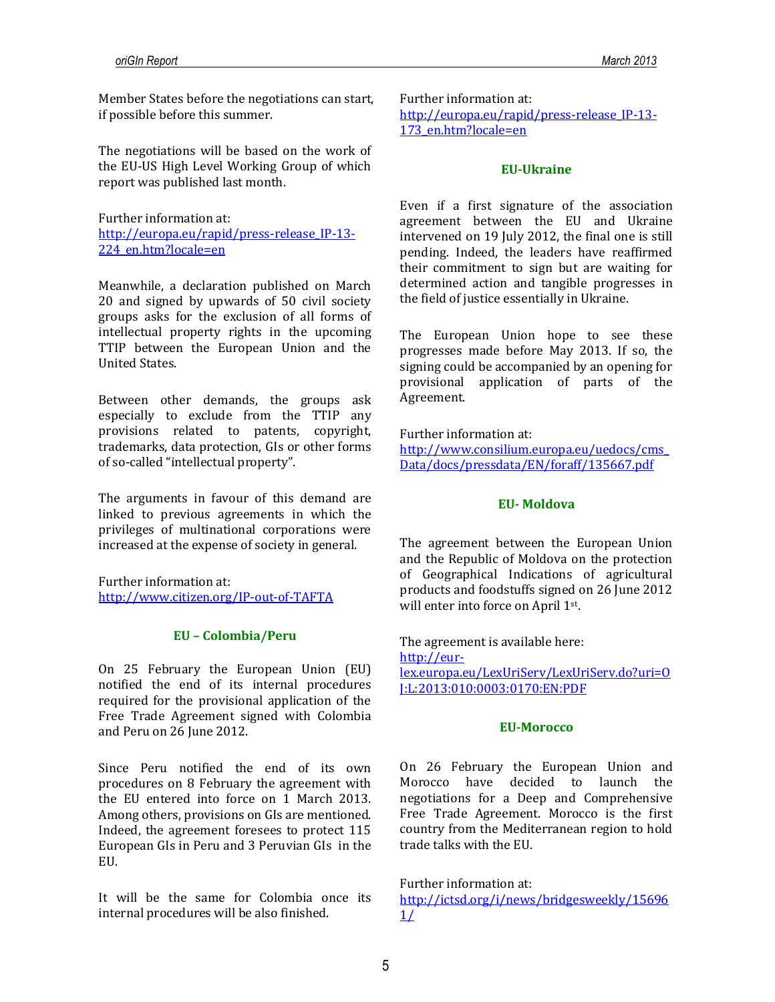Member States before the negotiations can start, if possible before this summer.

The negotiations will be based on the work of the EU-US High Level Working Group of which report was published last month.

Further information at: [http://europa.eu/rapid/press-release\\_IP-13-](http://europa.eu/rapid/press-release_IP-13-224_en.htm?locale=en) [224\\_en.htm?locale=en](http://europa.eu/rapid/press-release_IP-13-224_en.htm?locale=en)

Meanwhile, a declaration published on March 20 and signed by upwards of 50 civil society groups asks for the exclusion of all forms of intellectual property rights in the upcoming TTIP between the European Union and the United States.

Between other demands, the groups ask especially to exclude from the TTIP any provisions related to patents, copyright, trademarks, data protection, GIs or other forms of so-called "intellectual property".

The arguments in favour of this demand are linked to previous agreements in which the privileges of multinational corporations were increased at the expense of society in general.

Further information at: <http://www.citizen.org/IP-out-of-TAFTA>

### **EU – Colombia/Peru**

On 25 February the European Union (EU) notified the end of its internal procedures required for the provisional application of the Free Trade Agreement signed with Colombia and Peru on 26 June 2012.

Since Peru notified the end of its own procedures on 8 February the agreement with the EU entered into force on 1 March 2013. Among others, provisions on GIs are mentioned. Indeed, the agreement foresees to protect 115 European GIs in Peru and 3 Peruvian GIs in the EU.

It will be the same for Colombia once its internal procedures will be also finished.

Further information at: [http://europa.eu/rapid/press-release\\_IP-13-](http://europa.eu/rapid/press-release_IP-13-173_en.htm?locale=en) [173\\_en.htm?locale=en](http://europa.eu/rapid/press-release_IP-13-173_en.htm?locale=en)

#### **EU-Ukraine**

Even if a first signature of the association agreement between the EU and Ukraine intervened on 19 July 2012, the final one is still pending. Indeed, the leaders have reaffirmed their commitment to sign but are waiting for determined action and tangible progresses in the field of justice essentially in Ukraine.

The European Union hope to see these progresses made before May 2013. If so, the signing could be accompanied by an opening for provisional application of parts of the Agreement.

Further information at:

[http://www.consilium.europa.eu/uedocs/cms\\_](http://www.consilium.europa.eu/uedocs/cms_Data/docs/pressdata/EN/foraff/135667.pdf) [Data/docs/pressdata/EN/foraff/135667.pdf](http://www.consilium.europa.eu/uedocs/cms_Data/docs/pressdata/EN/foraff/135667.pdf)

#### **EU- Moldova**

The agreement between the European Union and the Republic of Moldova on the protection of Geographical Indications of agricultural products and foodstuffs signed on 26 June 2012 will enter into force on April 1st.

The agreement is available here: [http://eur](http://eur-lex.europa.eu/LexUriServ/LexUriServ.do?uri=OJ:L:2013:010:0003:0170:EN:PDF)[lex.europa.eu/LexUriServ/LexUriServ.do?uri=O](http://eur-lex.europa.eu/LexUriServ/LexUriServ.do?uri=OJ:L:2013:010:0003:0170:EN:PDF) [J:L:2013:010:0003:0170:EN:PDF](http://eur-lex.europa.eu/LexUriServ/LexUriServ.do?uri=OJ:L:2013:010:0003:0170:EN:PDF) 

#### **EU-Morocco**

On 26 February the European Union and Morocco have decided to launch the negotiations for a Deep and Comprehensive Free Trade Agreement. Morocco is the first country from the Mediterranean region to hold trade talks with the EU.

Further information at:

[http://ictsd.org/i/news/bridgesweekly/15696](http://ictsd.org/i/news/bridgesweekly/156961/)  $1/$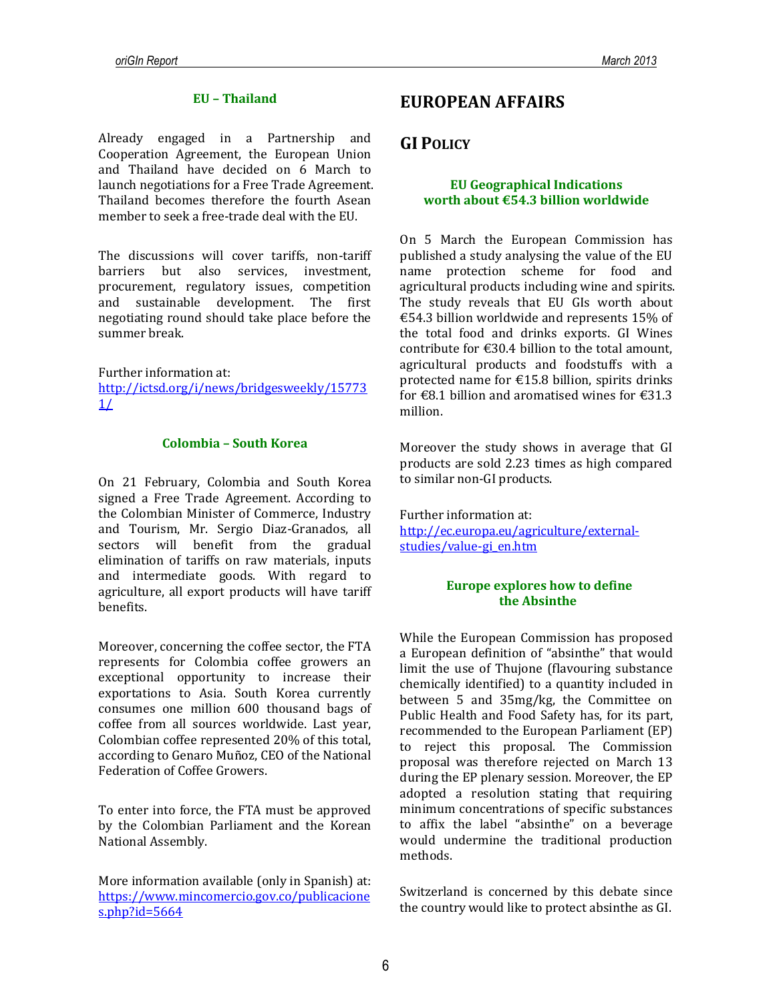### **EU – Thailand**

Already engaged in a Partnership and Cooperation Agreement, the European Union and Thailand have decided on 6 March to launch negotiations for a Free Trade Agreement. Thailand becomes therefore the fourth Asean member to seek a free-trade deal with the EU.

The discussions will cover tariffs, non-tariff barriers but also services, investment, procurement, regulatory issues, competition and sustainable development. The first negotiating round should take place before the summer break.

Further information at:

[http://ictsd.org/i/news/bridgesweekly/15773](http://ictsd.org/i/news/bridgesweekly/157731/)  $1/$ 

#### **Colombia – South Korea**

On 21 February, Colombia and South Korea signed a Free Trade Agreement. According to the Colombian Minister of Commerce, Industry and Tourism, Mr. Sergio Diaz-Granados, all sectors will benefit from the gradual elimination of tariffs on raw materials, inputs and intermediate goods. With regard to agriculture, all export products will have tariff benefits.

Moreover, concerning the coffee sector, the FTA represents for Colombia coffee growers an exceptional opportunity to increase their exportations to Asia. South Korea currently consumes one million 600 thousand bags of coffee from all sources worldwide. Last year, Colombian coffee represented 20% of this total, according to Genaro Muñoz, CEO of the National Federation of Coffee Growers.

To enter into force, the FTA must be approved by the Colombian Parliament and the Korean National Assembly.

More information available (only in Spanish) at: [https://www.mincomercio.gov.co/publicacione](https://www.mincomercio.gov.co/publicaciones.php?id=5664) [s.php?id=5664](https://www.mincomercio.gov.co/publicaciones.php?id=5664)

# **EUROPEAN AFFAIRS**

# **GI POLICY**

#### **EU Geographical Indications worth about €54.3 billion worldwide**

On 5 March the European Commission has published a study analysing the value of the EU name protection scheme for food and agricultural products including wine and spirits. The study reveals that EU GIs worth about €54.3 billion worldwide and represents 15% of the total food and drinks exports. GI Wines contribute for €30.4 billion to the total amount, agricultural products and foodstuffs with a protected name for €15.8 billion, spirits drinks for  $\text{\textsterling}8.1$  billion and aromatised wines for  $\text{\textsterling}31.3$ million.

Moreover the study shows in average that GI products are sold 2.23 times as high compared to similar non-GI products.

Further information at: [http://ec.europa.eu/agriculture/external](http://ec.europa.eu/agriculture/external-studies/value-gi_en.htm)[studies/value-gi\\_en.htm](http://ec.europa.eu/agriculture/external-studies/value-gi_en.htm)

### **Europe explores how to define the Absinthe**

While the European Commission has proposed a European definition of "absinthe" that would limit the use of Thujone (flavouring substance chemically identified) to a quantity included in between 5 and 35mg/kg, the Committee on Public Health and Food Safety has, for its part, recommended to the European Parliament (EP) to reject this proposal. The Commission proposal was therefore rejected on March 13 during the EP plenary session. Moreover, the EP adopted a resolution stating that requiring minimum concentrations of specific substances to affix the label "absinthe" on a beverage would undermine the traditional production methods.

Switzerland is concerned by this debate since the country would like to protect absinthe as GI.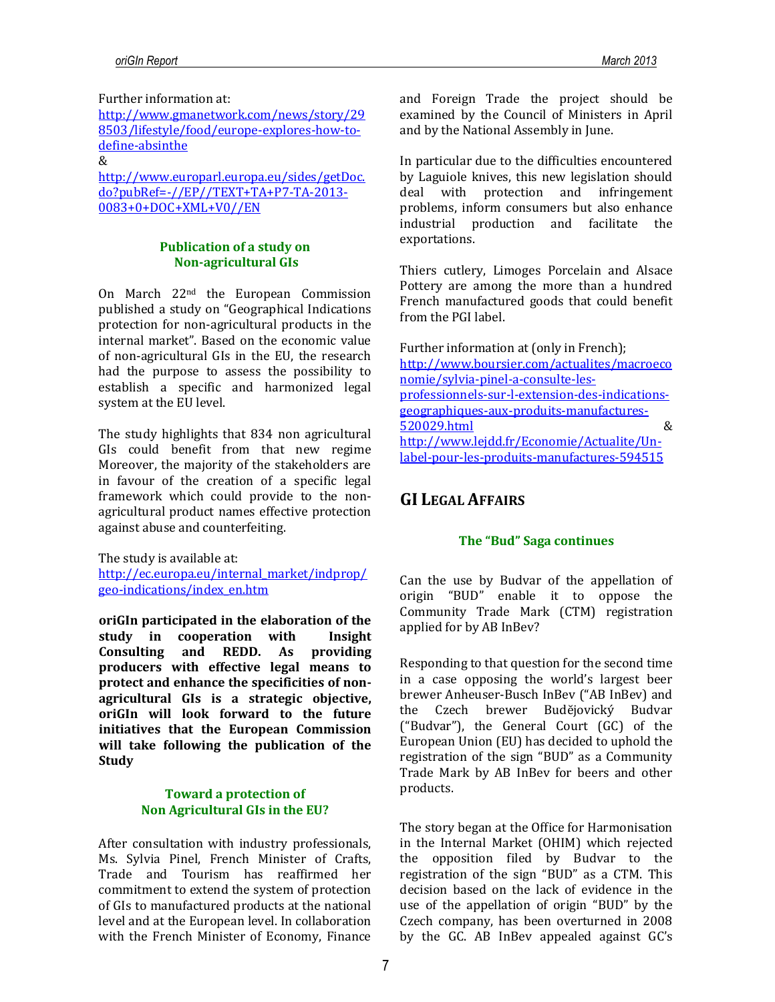Further information at:

[http://www.gmanetwork.com/news/story/29](http://www.gmanetwork.com/news/story/298503/lifestyle/food/europe-explores-how-to-define-absinthe) [8503/lifestyle/food/europe-explores-how-to](http://www.gmanetwork.com/news/story/298503/lifestyle/food/europe-explores-how-to-define-absinthe)[define-absinthe](http://www.gmanetwork.com/news/story/298503/lifestyle/food/europe-explores-how-to-define-absinthe)

&

[http://www.europarl.europa.eu/sides/getDoc.](http://www.europarl.europa.eu/sides/getDoc.do?pubRef=-//EP//TEXT+TA+P7-TA-2013-0083+0+DOC+XML+V0//EN) [do?pubRef=-//EP//TEXT+TA+P7-TA-2013-](http://www.europarl.europa.eu/sides/getDoc.do?pubRef=-//EP//TEXT+TA+P7-TA-2013-0083+0+DOC+XML+V0//EN) [0083+0+DOC+XML+V0//EN](http://www.europarl.europa.eu/sides/getDoc.do?pubRef=-//EP//TEXT+TA+P7-TA-2013-0083+0+DOC+XML+V0//EN)

### **Publication of a study on Non-agricultural GIs**

On March 22nd the European Commission published a study on "Geographical Indications protection for non-agricultural products in the internal market". Based on the economic value of non-agricultural GIs in the EU, the research had the purpose to assess the possibility to establish a specific and harmonized legal system at the EU level.

The study highlights that 834 non agricultural GIs could benefit from that new regime Moreover, the majority of the stakeholders are in favour of the creation of a specific legal framework which could provide to the nonagricultural product names effective protection against abuse and counterfeiting.

The study is available at: [http://ec.europa.eu/internal\\_market/indprop/](http://ec.europa.eu/internal_market/indprop/geo-indications/index_en.htm)

[geo-indications/index\\_en.htm](http://ec.europa.eu/internal_market/indprop/geo-indications/index_en.htm)

**oriGIn participated in the elaboration of the study in cooperation with Insight Consulting and REDD. As providing producers with effective legal means to protect and enhance the specificities of nonagricultural GIs is a strategic objective, oriGIn will look forward to the future initiatives that the European Commission will take following the publication of the Study**

### **Toward a protection of Non Agricultural GIs in the EU?**

After consultation with industry professionals, Ms. Sylvia Pinel, French Minister of Crafts, Trade and Tourism has reaffirmed her commitment to extend the system of protection of GIs to manufactured products at the national level and at the European level. In collaboration with the French Minister of Economy, Finance

and Foreign Trade the project should be examined by the Council of Ministers in April and by the National Assembly in June.

In particular due to the difficulties encountered by Laguiole knives, this new legislation should deal with protection and infringement problems, inform consumers but also enhance industrial production and facilitate the exportations.

Thiers cutlery, Limoges Porcelain and Alsace Pottery are among the more than a hundred French manufactured goods that could benefit from the PGI label.

Further information at (only in French); [http://www.boursier.com/actualites/macroeco](http://www.boursier.com/actualites/macroeconomie/sylvia-pinel-a-consulte-les-professionnels-sur-l-extension-des-indications-geographiques-aux-produits-manufactures-520029.html) [nomie/sylvia-pinel-a-consulte-les](http://www.boursier.com/actualites/macroeconomie/sylvia-pinel-a-consulte-les-professionnels-sur-l-extension-des-indications-geographiques-aux-produits-manufactures-520029.html)[professionnels-sur-l-extension-des-indications](http://www.boursier.com/actualites/macroeconomie/sylvia-pinel-a-consulte-les-professionnels-sur-l-extension-des-indications-geographiques-aux-produits-manufactures-520029.html)[geographiques-aux-produits-manufactures-](http://www.boursier.com/actualites/macroeconomie/sylvia-pinel-a-consulte-les-professionnels-sur-l-extension-des-indications-geographiques-aux-produits-manufactures-520029.html)[520029.html](http://www.boursier.com/actualites/macroeconomie/sylvia-pinel-a-consulte-les-professionnels-sur-l-extension-des-indications-geographiques-aux-produits-manufactures-520029.html) & [http://www.lejdd.fr/Economie/Actualite/Un](http://www.lejdd.fr/Economie/Actualite/Un-label-pour-les-produits-manufactures-594515)[label-pour-les-produits-manufactures-594515](http://www.lejdd.fr/Economie/Actualite/Un-label-pour-les-produits-manufactures-594515)

# **GI LEGAL AFFAIRS**

# **The "Bud" Saga continues**

Can the use by Budvar of the appellation of origin "BUD" enable it to oppose the Community Trade Mark (CTM) registration applied for by AB InBev?

Responding to that question for the second time in a case opposing the world's largest beer brewer Anheuser-Busch InBev ("AB InBev) and the Czech brewer Budĕjovický Budvar ("Budvar"), the General Court (GC) of the European Union (EU) has decided to uphold the registration of the sign "BUD" as a Community Trade Mark by AB InBev for beers and other products.

The story began at the Office for Harmonisation in the Internal Market (OHIM) which rejected the opposition filed by Budvar to the registration of the sign "BUD" as a CTM. This decision based on the lack of evidence in the use of the appellation of origin "BUD" by the Czech company, has been overturned in 2008 by the GC. AB InBev appealed against GC's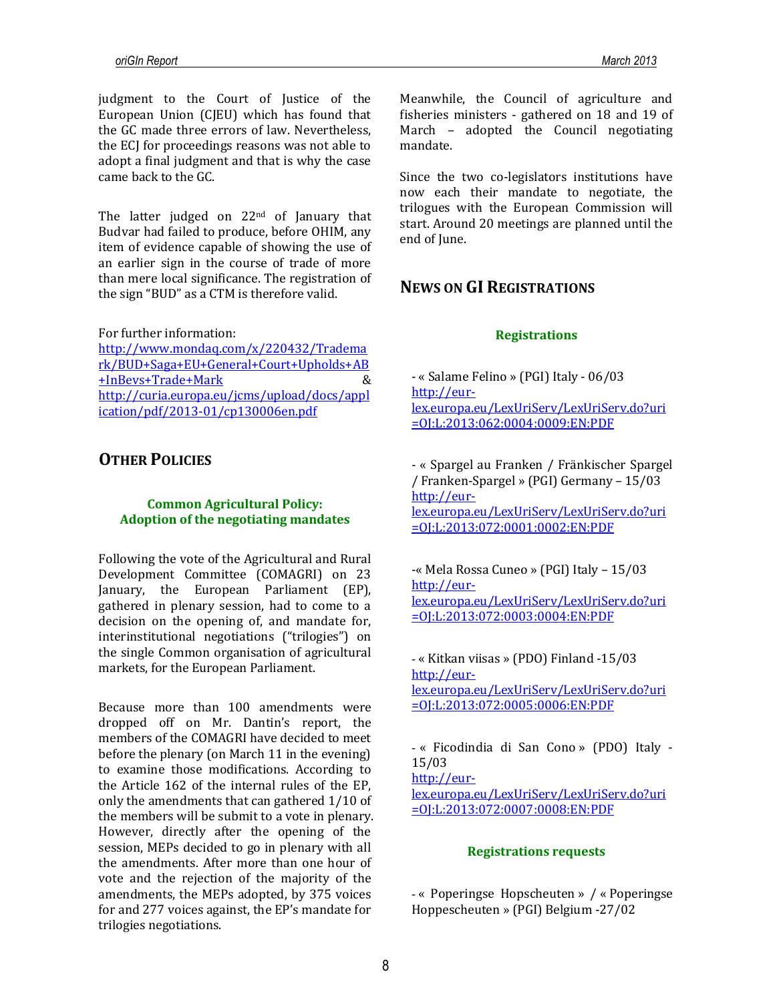judgment to the Court of Justice of the European Union (CJEU) which has found that the GC made three errors of law. Nevertheless, the ECJ for proceedings reasons was not able to adopt a final judgment and that is why the case came back to the GC.

The latter judged on 22<sup>nd</sup> of January that Budvar had failed to produce, before OHIM, any item of evidence capable of showing the use of an earlier sign in the course of trade of more than mere local significance. The registration of the sign "BUD" as a CTM is therefore valid.

For further information:

[http://www.mondaq.com/x/220432/Tradema](http://www.mondaq.com/x/220432/Trademark/BUD+Saga+EU+General+Court+Upholds+AB+InBevs+Trade+Mark) [rk/BUD+Saga+EU+General+Court+Upholds+AB](http://www.mondaq.com/x/220432/Trademark/BUD+Saga+EU+General+Court+Upholds+AB+InBevs+Trade+Mark) [+InBevs+Trade+Mark](http://www.mondaq.com/x/220432/Trademark/BUD+Saga+EU+General+Court+Upholds+AB+InBevs+Trade+Mark) & [http://curia.europa.eu/jcms/upload/docs/appl](http://curia.europa.eu/jcms/upload/docs/application/pdf/2013-01/cp130006en.pdf) [ication/pdf/2013-01/cp130006en.pdf](http://curia.europa.eu/jcms/upload/docs/application/pdf/2013-01/cp130006en.pdf)

# **OTHER POLICIES**

### **Common Agricultural Policy: Adoption of the negotiating mandates**

Following the vote of the Agricultural and Rural Development Committee (COMAGRI) on 23 January, the European Parliament (EP), gathered in plenary session, had to come to a decision on the opening of, and mandate for, interinstitutional negotiations ("trilogies") on the single Common organisation of agricultural markets, for the European Parliament.

Because more than 100 amendments were dropped off on Mr. Dantin's report, the members of the COMAGRI have decided to meet before the plenary (on March 11 in the evening) to examine those modifications. According to the Article 162 of the internal rules of the EP, only the amendments that can gathered 1/10 of the members will be submit to a vote in plenary. However, directly after the opening of the session, MEPs decided to go in plenary with all the amendments. After more than one hour of vote and the rejection of the majority of the amendments, the MEPs adopted, by 375 voices for and 277 voices against, the EP's mandate for trilogies negotiations.

Meanwhile, the Council of agriculture and fisheries ministers - gathered on 18 and 19 of March – adopted the Council negotiating mandate.

Since the two co-legislators institutions have now each their mandate to negotiate, the trilogues with the European Commission will start. Around 20 meetings are planned until the end of June.

# **NEWS ON GI REGISTRATIONS**

### **Registrations**

- « Salame Felino » (PGI) Italy - 06/03 [http://eur](http://eur-lex.europa.eu/LexUriServ/LexUriServ.do?uri=OJ:L:2013:062:0004:0009:EN:PDF)[lex.europa.eu/LexUriServ/LexUriServ.do?uri](http://eur-lex.europa.eu/LexUriServ/LexUriServ.do?uri=OJ:L:2013:062:0004:0009:EN:PDF) [=OJ:L:2013:062:0004:0009:EN:PDF](http://eur-lex.europa.eu/LexUriServ/LexUriServ.do?uri=OJ:L:2013:062:0004:0009:EN:PDF)

- « Spargel au Franken / Fränkischer Spargel / Franken-Spargel » (PGI) Germany – 15/03 [http://eur-](http://eur-lex.europa.eu/LexUriServ/LexUriServ.do?uri=OJ:L:2013:072:0001:0002:EN:PDF)

[lex.europa.eu/LexUriServ/LexUriServ.do?uri](http://eur-lex.europa.eu/LexUriServ/LexUriServ.do?uri=OJ:L:2013:072:0001:0002:EN:PDF) [=OJ:L:2013:072:0001:0002:EN:PDF](http://eur-lex.europa.eu/LexUriServ/LexUriServ.do?uri=OJ:L:2013:072:0001:0002:EN:PDF)

-« Mela Rossa Cuneo » (PGI) Italy – 15/03 [http://eur](http://eur-lex.europa.eu/LexUriServ/LexUriServ.do?uri=OJ:L:2013:072:0003:0004:EN:PDF)[lex.europa.eu/LexUriServ/LexUriServ.do?uri](http://eur-lex.europa.eu/LexUriServ/LexUriServ.do?uri=OJ:L:2013:072:0003:0004:EN:PDF) [=OJ:L:2013:072:0003:0004:EN:PDF](http://eur-lex.europa.eu/LexUriServ/LexUriServ.do?uri=OJ:L:2013:072:0003:0004:EN:PDF)

- « Kitkan viisas » (PDO) Finland -15/03 [http://eur](http://eur-lex.europa.eu/LexUriServ/LexUriServ.do?uri=OJ:L:2013:072:0005:0006:EN:PDF)[lex.europa.eu/LexUriServ/LexUriServ.do?uri](http://eur-lex.europa.eu/LexUriServ/LexUriServ.do?uri=OJ:L:2013:072:0005:0006:EN:PDF) [=OJ:L:2013:072:0005:0006:EN:PDF](http://eur-lex.europa.eu/LexUriServ/LexUriServ.do?uri=OJ:L:2013:072:0005:0006:EN:PDF)

- « Ficodindia di San Cono » (PDO) Italy - 15/03

[http://eur-](http://eur-lex.europa.eu/LexUriServ/LexUriServ.do?uri=OJ:L:2013:072:0007:0008:EN:PDF)

[lex.europa.eu/LexUriServ/LexUriServ.do?uri](http://eur-lex.europa.eu/LexUriServ/LexUriServ.do?uri=OJ:L:2013:072:0007:0008:EN:PDF) [=OJ:L:2013:072:0007:0008:EN:PDF](http://eur-lex.europa.eu/LexUriServ/LexUriServ.do?uri=OJ:L:2013:072:0007:0008:EN:PDF)

### **Registrations requests**

- « Poperingse Hopscheuten » / « Poperingse Hoppescheuten » (PGI) Belgium -27/02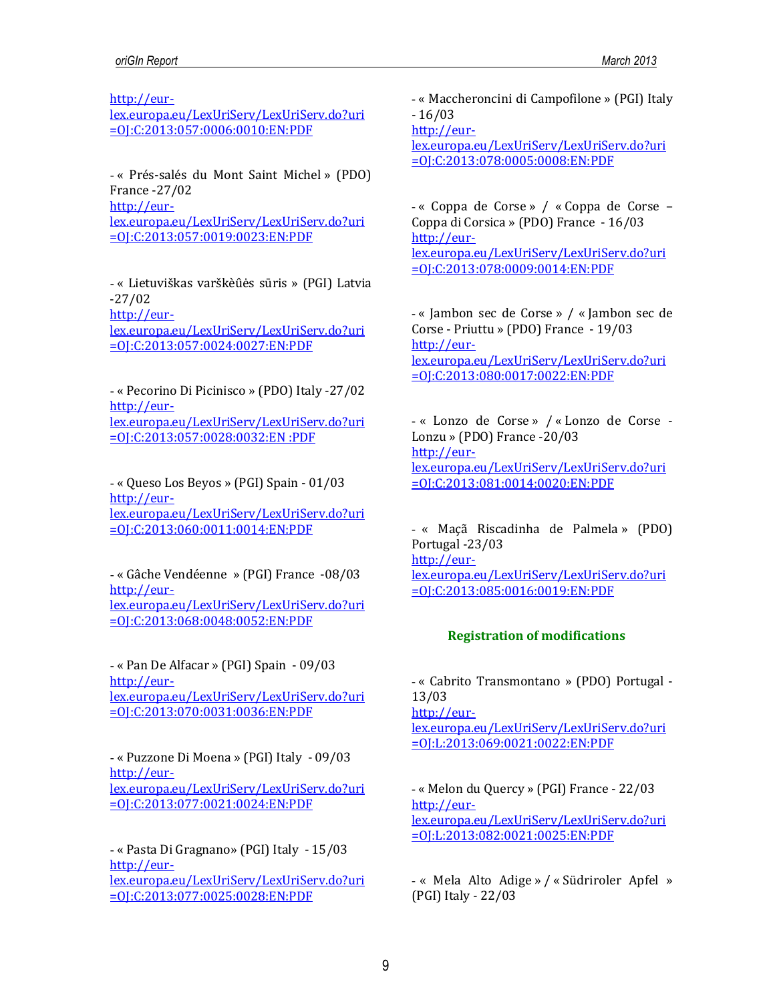[http://eur-](http://eur-lex.europa.eu/LexUriServ/LexUriServ.do?uri=OJ:C:2013:057:0006:0010:EN:PDF)

[lex.europa.eu/LexUriServ/LexUriServ.do?uri](http://eur-lex.europa.eu/LexUriServ/LexUriServ.do?uri=OJ:C:2013:057:0006:0010:EN:PDF) [=OJ:C:2013:057:0006:0010:EN:PDF](http://eur-lex.europa.eu/LexUriServ/LexUriServ.do?uri=OJ:C:2013:057:0006:0010:EN:PDF)

- « Prés-salés du Mont Saint Michel » (PDO) France -27/02 [http://eur](http://eur-lex.europa.eu/LexUriServ/LexUriServ.do?uri=OJ:C:2013:057:0019:0023:EN:PDF)[lex.europa.eu/LexUriServ/LexUriServ.do?uri](http://eur-lex.europa.eu/LexUriServ/LexUriServ.do?uri=OJ:C:2013:057:0019:0023:EN:PDF)

[=OJ:C:2013:057:0019:0023:EN:PDF](http://eur-lex.europa.eu/LexUriServ/LexUriServ.do?uri=OJ:C:2013:057:0019:0023:EN:PDF)

- « Lietuviškas varškèûės sūris » (PGI) Latvia -27/02 [http://eur-](http://eur-lex.europa.eu/LexUriServ/LexUriServ.do?uri=OJ:C:2013:057:0024:0027:EN:PDF)

[lex.europa.eu/LexUriServ/LexUriServ.do?uri](http://eur-lex.europa.eu/LexUriServ/LexUriServ.do?uri=OJ:C:2013:057:0024:0027:EN:PDF) [=OJ:C:2013:057:0024:0027:EN:PDF](http://eur-lex.europa.eu/LexUriServ/LexUriServ.do?uri=OJ:C:2013:057:0024:0027:EN:PDF)

- « Pecorino Di Picinisco » (PDO) Italy -27/02 [http://eur](http://eur-lex.europa.eu/LexUriServ/LexUriServ.do?uri=OJ:C:2013:057:0028:0032:EN%20:PDF)[lex.europa.eu/LexUriServ/LexUriServ.do?uri](http://eur-lex.europa.eu/LexUriServ/LexUriServ.do?uri=OJ:C:2013:057:0028:0032:EN%20:PDF) [=OJ:C:2013:057:0028:0032:EN :PDF](http://eur-lex.europa.eu/LexUriServ/LexUriServ.do?uri=OJ:C:2013:057:0028:0032:EN%20:PDF)

- « Queso Los Beyos » (PGI) Spain - 01/03 [http://eur](http://eur-lex.europa.eu/LexUriServ/LexUriServ.do?uri=OJ:C:2013:060:0011:0014:EN:PDF)[lex.europa.eu/LexUriServ/LexUriServ.do?uri](http://eur-lex.europa.eu/LexUriServ/LexUriServ.do?uri=OJ:C:2013:060:0011:0014:EN:PDF) [=OJ:C:2013:060:0011:0014:EN:PDF](http://eur-lex.europa.eu/LexUriServ/LexUriServ.do?uri=OJ:C:2013:060:0011:0014:EN:PDF)

- « Gâche Vendéenne » (PGI) France -08/03 [http://eur](http://eur-lex.europa.eu/LexUriServ/LexUriServ.do?uri=OJ:C:2013:068:0048:0052:EN:PDF)[lex.europa.eu/LexUriServ/LexUriServ.do?uri](http://eur-lex.europa.eu/LexUriServ/LexUriServ.do?uri=OJ:C:2013:068:0048:0052:EN:PDF) [=OJ:C:2013:068:0048:0052:EN:PDF](http://eur-lex.europa.eu/LexUriServ/LexUriServ.do?uri=OJ:C:2013:068:0048:0052:EN:PDF)

- « Pan De Alfacar » (PGI) Spain - 09/03 [http://eur](http://eur-lex.europa.eu/LexUriServ/LexUriServ.do?uri=OJ:C:2013:070:0031:0036:EN:PDF)[lex.europa.eu/LexUriServ/LexUriServ.do?uri](http://eur-lex.europa.eu/LexUriServ/LexUriServ.do?uri=OJ:C:2013:070:0031:0036:EN:PDF) [=OJ:C:2013:070:0031:0036:EN:PDF](http://eur-lex.europa.eu/LexUriServ/LexUriServ.do?uri=OJ:C:2013:070:0031:0036:EN:PDF)

- « Puzzone Di Moena » (PGI) Italy - 09/03 [http://eur](http://eur-lex.europa.eu/LexUriServ/LexUriServ.do?uri=OJ:C:2013:077:0021:0024:EN:PDF)[lex.europa.eu/LexUriServ/LexUriServ.do?uri](http://eur-lex.europa.eu/LexUriServ/LexUriServ.do?uri=OJ:C:2013:077:0021:0024:EN:PDF) [=OJ:C:2013:077:0021:0024:EN:PDF](http://eur-lex.europa.eu/LexUriServ/LexUriServ.do?uri=OJ:C:2013:077:0021:0024:EN:PDF)

- « Pasta Di Gragnano» (PGI) Italy - 15/03 [http://eur](http://eur-lex.europa.eu/LexUriServ/LexUriServ.do?uri=OJ:C:2013:077:0025:0028:EN:PDF)[lex.europa.eu/LexUriServ/LexUriServ.do?uri](http://eur-lex.europa.eu/LexUriServ/LexUriServ.do?uri=OJ:C:2013:077:0025:0028:EN:PDF) [=OJ:C:2013:077:0025:0028:EN:PDF](http://eur-lex.europa.eu/LexUriServ/LexUriServ.do?uri=OJ:C:2013:077:0025:0028:EN:PDF)

- « Maccheroncini di Campofilone » (PGI) Italy - 16/03

[http://eur-](http://eur-lex.europa.eu/LexUriServ/LexUriServ.do?uri=OJ:C:2013:078:0005:0008:EN:PDF)

[lex.europa.eu/LexUriServ/LexUriServ.do?uri](http://eur-lex.europa.eu/LexUriServ/LexUriServ.do?uri=OJ:C:2013:078:0005:0008:EN:PDF) [=OJ:C:2013:078:0005:0008:EN:PDF](http://eur-lex.europa.eu/LexUriServ/LexUriServ.do?uri=OJ:C:2013:078:0005:0008:EN:PDF)

- « Coppa de Corse » / « Coppa de Corse – Coppa di Corsica » (PDO) France - 16/03 [http://eur](http://eur-lex.europa.eu/LexUriServ/LexUriServ.do?uri=OJ:C:2013:078:0009:0014:EN:PDF)[lex.europa.eu/LexUriServ/LexUriServ.do?uri](http://eur-lex.europa.eu/LexUriServ/LexUriServ.do?uri=OJ:C:2013:078:0009:0014:EN:PDF) [=OJ:C:2013:078:0009:0014:EN:PDF](http://eur-lex.europa.eu/LexUriServ/LexUriServ.do?uri=OJ:C:2013:078:0009:0014:EN:PDF)

- « Jambon sec de Corse » / « Jambon sec de Corse - Priuttu » (PDO) France - 19/03 [http://eur](http://eur-lex.europa.eu/LexUriServ/LexUriServ.do?uri=OJ:C:2013:080:0017:0022:EN:PDF)[lex.europa.eu/LexUriServ/LexUriServ.do?uri](http://eur-lex.europa.eu/LexUriServ/LexUriServ.do?uri=OJ:C:2013:080:0017:0022:EN:PDF) [=OJ:C:2013:080:0017:0022:EN:PDF](http://eur-lex.europa.eu/LexUriServ/LexUriServ.do?uri=OJ:C:2013:080:0017:0022:EN:PDF)

- « Lonzo de Corse » / « Lonzo de Corse - Lonzu » (PDO) France -20/03 [http://eur](http://eur-lex.europa.eu/LexUriServ/LexUriServ.do?uri=OJ:C:2013:081:0014:0020:EN:PDF)[lex.europa.eu/LexUriServ/LexUriServ.do?uri](http://eur-lex.europa.eu/LexUriServ/LexUriServ.do?uri=OJ:C:2013:081:0014:0020:EN:PDF) [=OJ:C:2013:081:0014:0020:EN:PDF](http://eur-lex.europa.eu/LexUriServ/LexUriServ.do?uri=OJ:C:2013:081:0014:0020:EN:PDF)

- « Maçã Riscadinha de Palmela » (PDO) Portugal -23/03 [http://eur](http://eur-lex.europa.eu/LexUriServ/LexUriServ.do?uri=OJ:C:2013:085:0016:0019:EN:PDF)[lex.europa.eu/LexUriServ/LexUriServ.do?uri](http://eur-lex.europa.eu/LexUriServ/LexUriServ.do?uri=OJ:C:2013:085:0016:0019:EN:PDF) [=OJ:C:2013:085:0016:0019:EN:PDF](http://eur-lex.europa.eu/LexUriServ/LexUriServ.do?uri=OJ:C:2013:085:0016:0019:EN:PDF)

# **Registration of modifications**

- « Cabrito Transmontano » (PDO) Portugal - 13/03 [http://eur](http://eur-lex.europa.eu/LexUriServ/LexUriServ.do?uri=OJ:L:2013:069:0021:0022:EN:PDF)[lex.europa.eu/LexUriServ/LexUriServ.do?uri](http://eur-lex.europa.eu/LexUriServ/LexUriServ.do?uri=OJ:L:2013:069:0021:0022:EN:PDF) [=OJ:L:2013:069:0021:0022:EN:PDF](http://eur-lex.europa.eu/LexUriServ/LexUriServ.do?uri=OJ:L:2013:069:0021:0022:EN:PDF)

- « Melon du Quercy » (PGI) France - 22/03 [http://eur](http://eur-lex.europa.eu/LexUriServ/LexUriServ.do?uri=OJ:L:2013:082:0021:0025:EN:PDF)[lex.europa.eu/LexUriServ/LexUriServ.do?uri](http://eur-lex.europa.eu/LexUriServ/LexUriServ.do?uri=OJ:L:2013:082:0021:0025:EN:PDF) [=OJ:L:2013:082:0021:0025:EN:PDF](http://eur-lex.europa.eu/LexUriServ/LexUriServ.do?uri=OJ:L:2013:082:0021:0025:EN:PDF)

- « Mela Alto Adige » / « Südriroler Apfel » (PGI) Italy - 22/03